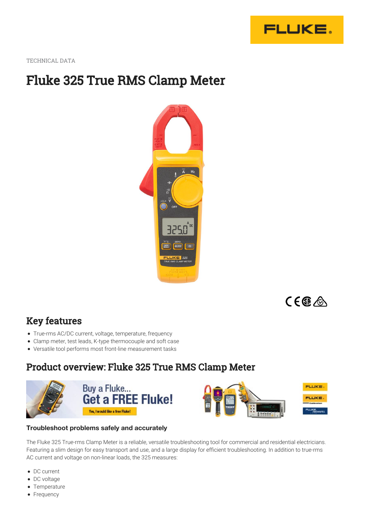

TECHNICAL DATA

# Fluke 325 True RMS Clamp Meter



 $C \in \mathbb{G}$ 

## Key features

- True-rms AC/DC current, voltage, temperature, frequency
- Clamp meter, test leads, K-type thermocouple and soft case
- Versatile tool performs most front-line measurement tasks

## Product overview: Fluke 325 True RMS Clamp Meter





### **Troubleshoot problems safely and accurately**

The Fluke 325 True-rms Clamp Meter is a reliable, versatile troubleshooting tool for commercial and residential electricians. Featuring a slim design for easy transport and use, and a large display for efficient troubleshooting. In addition to true-rms AC current and voltage on non-linear loads, the 325 measures:

- DC current
- DC voltage
- Temperature
- Frequency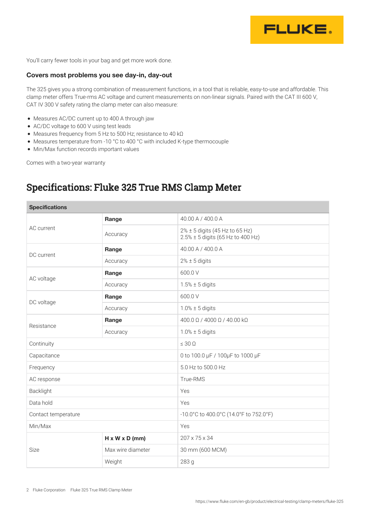

You'll carry fewer tools in your bag and get more work done.

#### **Covers most problems you see day-in, day-out**

The 325 gives you a strong combination of measurement functions, in a tool that is reliable, easy-to-use and affordable. This clamp meter offers True-rms AC voltage and current measurements on non-linear signals. Paired with the CAT III 600 V, CAT IV 300 V safety rating the clamp meter can also measure:

- Measures AC/DC current up to 400 A through jaw
- AC/DC voltage to 600 V using test leads
- Measures frequency from 5 Hz to 500 Hz; resistance to 40 kΩ
- Measures temperature from -10 °C to 400 °C with included K-type thermocouple
- Min/Max function records important values

Comes with a two-year warranty

## Specifications: Fluke 325 True RMS Clamp Meter

| <b>Specifications</b> |                            |                                                                     |
|-----------------------|----------------------------|---------------------------------------------------------------------|
| AC current            | Range                      | 40.00 A / 400.0 A                                                   |
|                       | Accuracy                   | 2% ± 5 digits (45 Hz to 65 Hz)<br>2.5% ± 5 digits (65 Hz to 400 Hz) |
| DC current            | Range                      | 40.00 A / 400.0 A                                                   |
|                       | Accuracy                   | $2\% \pm 5$ digits                                                  |
| AC voltage            | Range                      | 600.0 V                                                             |
|                       | Accuracy                   | $1.5\% \pm 5$ digits                                                |
| DC voltage            | Range                      | 600.0 V                                                             |
|                       | Accuracy                   | $1.0\% \pm 5$ digits                                                |
| Resistance            | Range                      | 400.0 Ω / 4000 Ω / 40.00 kΩ                                         |
|                       | Accuracy                   | $1.0\% \pm 5$ digits                                                |
| Continuity            |                            | $\leq 30 \Omega$                                                    |
| Capacitance           |                            | 0 to 100.0 µF / 100µF to 1000 µF                                    |
| Frequency             |                            | 5.0 Hz to 500.0 Hz                                                  |
| AC response           |                            | True-RMS                                                            |
| Backlight             |                            | Yes                                                                 |
| Data hold             |                            | Yes                                                                 |
| Contact temperature   |                            | -10.0°C to 400.0°C (14.0°F to 752.0°F)                              |
| Min/Max               |                            | Yes                                                                 |
| Size                  | $H \times W \times D$ (mm) | 207 x 75 x 34                                                       |
|                       | Max wire diameter          | 30 mm (600 MCM)                                                     |
|                       | Weight                     | 283 g                                                               |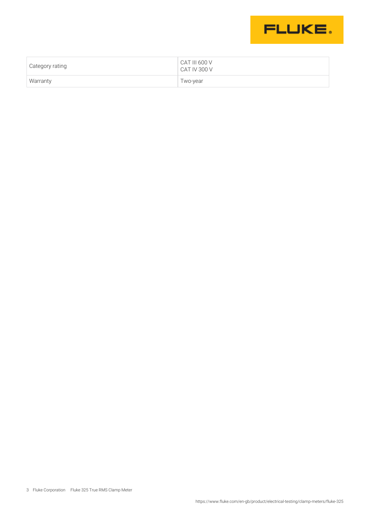

| Category rating | CAT III 600 V<br>CAT IV 300 V |
|-----------------|-------------------------------|
| Warranty        | Two-year                      |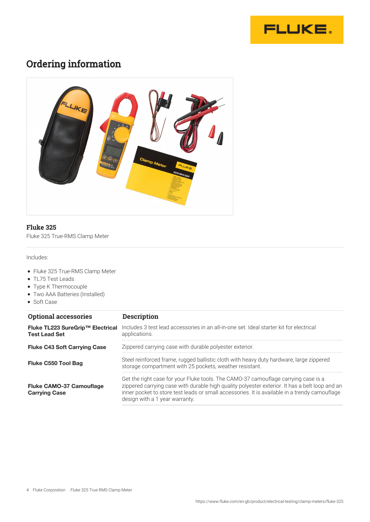

# Ordering information



### **Fluke 325**

Fluke 325 True-RMS Clamp Meter

Includes:

- Fluke 325 True-RMS Clamp Meter
- TL75 Test Leads
- Type K Thermocouple
- Two AAA Batteries (Installed)
- Soft Case

| <b>Optional accessories</b>                              | <b>Description</b>                                                                                                                                                                                                                                                                                                      |  |
|----------------------------------------------------------|-------------------------------------------------------------------------------------------------------------------------------------------------------------------------------------------------------------------------------------------------------------------------------------------------------------------------|--|
| Fluke TL223 SureGrip™ Electrical<br><b>Test Lead Set</b> | Includes 3 test lead accessories in an all-in-one set. Ideal starter kit for electrical<br>applications.                                                                                                                                                                                                                |  |
| <b>Fluke C43 Soft Carrying Case</b>                      | Zippered carrying case with durable polyester exterior.                                                                                                                                                                                                                                                                 |  |
| Fluke C550 Tool Bag                                      | Steel reinforced frame, rugged ballistic cloth with heavy duty hardware, large zippered<br>storage compartment with 25 pockets, weather resistant.                                                                                                                                                                      |  |
| <b>Fluke CAMO-37 Camouflage</b><br><b>Carrying Case</b>  | Get the right case for your Fluke tools. The CAMO-37 camouflage carrying case is a<br>zippered carrying case with durable high quality polyester exterior. It has a belt loop and an<br>inner pocket to store test leads or small accessories. It is available in a trendy camouflage<br>design with a 1 year warranty. |  |